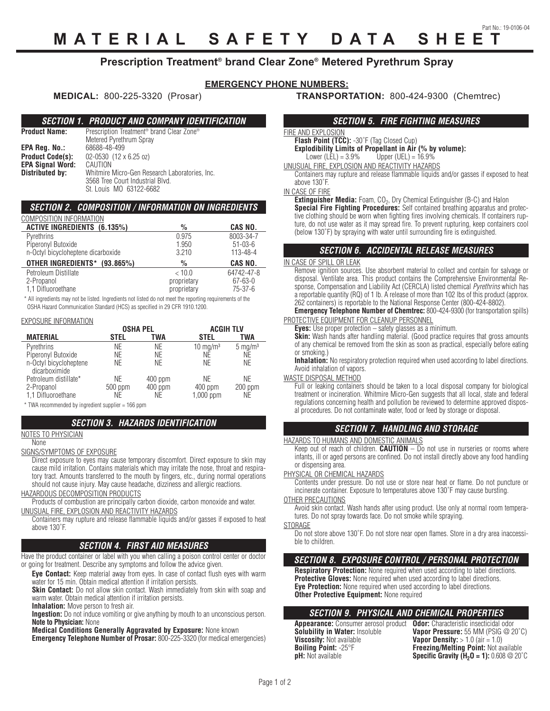# **MATERIAL SAFETY DATA SHEET**

### **Prescription Treatment® brand Clear Zone® Metered Pyrethrum Spray**

### **EMERGENCY PHONE NUMBERS:**

#### *SECTION 1. PRODUCT AND COMPANY IDENTIFICATION*

**Product Name:** Prescription Treatment<sup>®</sup> brand Clear Zone® Metered Pyrethrum Spray<br>68688-48-499 **EPA Reg. No.: Product Code(s):** 02-0530 (12 x 6.25 oz)<br>**EPA Signal Word:** CAUTION **EPA Signal Word:**<br>Distributed by: Whitmire Micro-Gen Research Laboratories, Inc. 3568 Tree Court Industrial Blvd. St. Louis MO 63122-6682

### *SECTION 2. COMPOSITION / INFORMATION ON INGREDIENTS*

| COMPOSITION INFORMATION            |               |                |
|------------------------------------|---------------|----------------|
| <b>ACTIVE INGREDIENTS (6.135%)</b> | $\frac{0}{0}$ | CAS NO.        |
| Pyrethrins                         | 0.975         | 8003-34-7      |
| Piperonyl Butoxide                 | 1.950         | $51 - 03 - 6$  |
| n-Octyl bicycloheptene dicarboxide | 3.210         | $113 - 48 - 4$ |
| OTHER INGREDIENTS* (93.865%)       | $\%$          | CAS NO.        |
| Petroleum Distillate               | < 10.0        | 64742-47-8     |
| 2-Propanol                         | proprietary   | $67 - 63 - 0$  |
| 1.1 Difluoroethane                 | proprietary   | $75 - 37 - 6$  |
|                                    |               |                |

\* All ingredients may not be listed. Ingredients not listed do not meet the reporting requirements of the OSHA Hazard Communication Standard (HCS) as specified in 29 CFR 1910.1200.

#### EXPOSURE INFORMATION

|                                         | <b>OSHA PEL</b> |                 | <b>ACGIH TLV</b>         |                    |
|-----------------------------------------|-----------------|-----------------|--------------------------|--------------------|
| <b>MATERIAL</b>                         | STEL            | TWA             | <b>STEL</b>              | <b>TWA</b>         |
| Pyrethrins                              | ΝE              | NE              | $10 \text{ mg/m}^3$      | $5 \text{ mg/m}^3$ |
| Piperonyl Butoxide                      | ΝE              | NE              | NE                       | ΝE                 |
| n-Octyl bicycloheptene<br>dicarboximide | ΝE              | NE              | NE                       | ΝE                 |
| Petroleum distillate*                   | ΝE              | 400 ppm         | <b>NE</b>                | ΝE                 |
| 2-Propanol<br>1.1 Difluoroethane        | 500 ppm<br>ΝE   | $400$ ppm<br>NE | $400$ ppm<br>$1,000$ ppm | $200$ ppm<br>NE.   |

\* TWA recommended by ingredient supplier = 166 ppm

#### *SECTION 3. HAZARDS IDENTIFICATION*

### NOTES TO PHYSICIAN

None

SIGNS/SYMPTOMS OF EXPOSURE

Direct exposure to eyes may cause temporary discomfort. Direct exposure to skin may cause mild irritation. Contains materials which may irritate the nose, throat and respiratory tract. Amounts transferred to the mouth by fingers, etc., during normal operations should not cause injury. May cause headache, dizziness and allergic reactions.

HAZARDOUS DECOMPOSITION PRODUCTS

Products of combustion are principally carbon dioxide, carbon monoxide and water. UNUSUAL FIRE, EXPLOSION AND REACTIVITY HAZARDS

Containers may rupture and release flammable liquids and/or gasses if exposed to heat above 130˚F.

#### *SECTION 4. FIRST AID MEASURES*

Have the product container or label with you when calling a poison control center or doctor or going for treatment. Describe any symptoms and follow the advice given.

**Eye Contact:** Keep material away from eyes. In case of contact flush eyes with warm water for 15 min. Obtain medical attention if irritation persists.

**Skin Contact:** Do not allow skin contact. Wash immediately from skin with soap and warm water. Obtain medical attention if irritation persists.

**Inhalation:** Move person to fresh air.

**Ingestion:** Do not induce vomiting or give anything by mouth to an unconscious person. **Note to Physician:** None

**Medical Conditions Generally Aggravated by Exposure:** None known

**Emergency Telephone Number of Prosar: 800-225-3320 (for medical emergencies)** 

**MEDICAL:** 800-225-3320 (Prosar) **TRANSPORTATION:** 800-424-9300 (Chemtrec)

#### *SECTION 5. FIRE FIGHTING MEASURES*

### FIRE AND EXPLOSION

**Flash Point (TCC):** -30˚F (Tag Closed Cup) **Explodibility Limits of Propellant in Air (% by volume):**<br>Lower (LEL) = 3.9% Upper (UEL) = 16.9% Upper (UEL) =  $16.9%$ 

UNUSUAL FIRE, EXPLOSION AND REACTIVITY HAZARDS

Containers may rupture and release flammable liquids and/or gasses if exposed to heat above 130˚F.

IN CASE OF FIRE

**Extinguisher Media:** Foam, CO<sub>2</sub>, Dry Chemical Extinguisher (B-C) and Halon **Special Fire Fighting Procedures:** Self contained breathing apparatus and protective clothing should be worn when fighting fires involving chemicals. If containers rupture, do not use water as it may spread fire. To prevent rupturing, keep containers cool (below 130˚F) by spraying with water until surrounding fire is extinguished.

#### *SECTION 6. ACCIDENTAL RELEASE MEASURES*

#### IN CASE OF SPILL OR LEAK

Remove ignition sources. Use absorbent material to collect and contain for salvage or disposal. Ventilate area. This product contains the Comprehensive Environmental Response, Compensation and Liability Act (CERCLA) listed chemical *Pyrethrins* which has a reportable quantity (RQ) of 1 lb. A release of more than 102 lbs of this product (approx. 262 containers) is reportable to the National Response Center (800-424-8802).

#### **Emergency Telephone Number of Chemtrec:** 800-424-9300 (for transportation spills) PROTECTIVE EQUIPMENT FOR CLEANUP PERSONNEL

**Eyes:** Use proper protection – safety glasses as a minimum.

**Skin:** Wash hands after handling material. (Good practice requires that gross amounts of any chemical be removed from the skin as soon as practical, especially before eating or smoking.)

**Inhalation:** No respiratory protection required when used according to label directions. Avoid inhalation of vapors.

WASTE DISPOSAL METHOD

Full or leaking containers should be taken to a local disposal company for biological treatment or incineration. Whitmire Micro-Gen suggests that all local, state and federal regulations concerning health and pollution be reviewed to determine approved disposal procedures. Do not contaminate water, food or feed by storage or disposal.

#### *SECTION 7. HANDLING AND STORAGE*

#### HAZARDS TO HUMANS AND DOMESTIC ANIMALS

Keep out of reach of children. **CAUTION** – Do not use in nurseries or rooms where infants, ill or aged persons are confined. Do not install directly above any food handling or dispensing area.

## PHYSICAL OR CHEMICAL HAZARDS

Contents under pressure. Do not use or store near heat or flame. Do not puncture or incinerate container. Exposure to temperatures above 130˚F may cause bursting.

#### OTHER PRECAUTIONS

Avoid skin contact. Wash hands after using product. Use only at normal room temperatures. Do not spray towards face. Do not smoke while spraying.

**STORAGE** 

Do not store above 130˚F. Do not store near open flames. Store in a dry area inaccessible to children.

#### *SECTION 8. EXPOSURE CONTROL / PERSONAL PROTECTION*

**Respiratory Protection:** None required when used according to label directions. **Protective Gloves:** None required when used according to label directions. **Eye Protection:** None required when used according to label directions. **Other Protective Equipment: None required** 

### *SECTION 9. PHYSICAL AND CHEMICAL PROPERTIES*

**Appearance:** Consumer aerosol product **Odor:** Characteristic insecticidal odor **Solubility in Water:** Insoluble **Vapor Pressure:** 55 MM (PSIG @ 20˚C) **Viscosity:** Not available **Vapor Density:** > 1.0 (air = 1.0)<br> **Boiling Point:** -25°F **Freezing/Melting Point:** Not av **Boiling Point:** -25°F **Freezing/Melting Point:** Not available<br> **pH:** Not available **Specific Gravity (H<sub>2</sub>O = 1):** 0.608 @ 20°

**Specific Gravity (** $H$ **<sub>2</sub>O = 1):** 0.608  $@$  20 $°C$